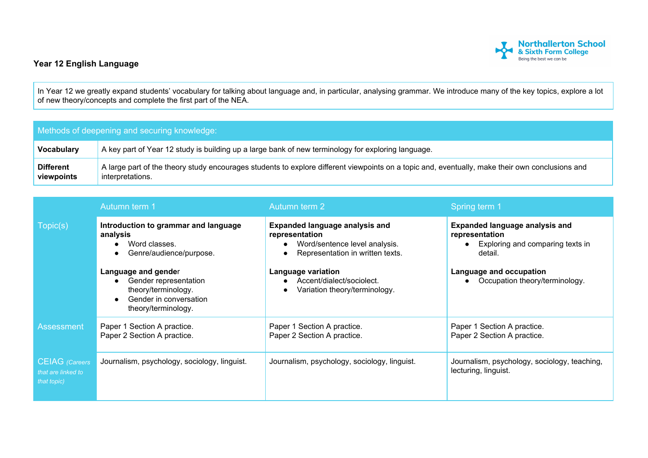

## **Year 12 English Language**

In Year 12 we greatly expand students' vocabulary for talking about language and, in particular, analysing grammar. We introduce many of the key topics, explore a lot of new theory/concepts and complete the first part of the NEA.

## Methods of deepening and securing knowledge:

| Vocabulary       | A key part of Year 12 study is building up a large bank of new terminology for exploring language.                                              |
|------------------|-------------------------------------------------------------------------------------------------------------------------------------------------|
| <b>Different</b> | A large part of the theory study encourages students to explore different viewpoints on a topic and, eventually, make their own conclusions and |
| viewpoints       | interpretations.                                                                                                                                |

|                                                            | Autumn term 1                                                                                                       | Autumn term 2                                                                                                                                      | Spring term 1                                                                                                                     |
|------------------------------------------------------------|---------------------------------------------------------------------------------------------------------------------|----------------------------------------------------------------------------------------------------------------------------------------------------|-----------------------------------------------------------------------------------------------------------------------------------|
| Topic(s)                                                   | Introduction to grammar and language<br>analysis<br>Word classes.<br>Genre/audience/purpose.<br>Language and gender | <b>Expanded language analysis and</b><br>representation<br>Word/sentence level analysis.<br>Representation in written texts.<br>Language variation | <b>Expanded language analysis and</b><br>representation<br>Exploring and comparing texts in<br>detail.<br>Language and occupation |
|                                                            | Gender representation<br>theory/terminology.<br>Gender in conversation<br>theory/terminology.                       | Accent/dialect/sociolect.<br>Variation theory/terminology.                                                                                         | Occupation theory/terminology.                                                                                                    |
| <b>Assessment</b>                                          | Paper 1 Section A practice.<br>Paper 2 Section A practice.                                                          | Paper 1 Section A practice.<br>Paper 2 Section A practice.                                                                                         | Paper 1 Section A practice.<br>Paper 2 Section A practice.                                                                        |
| <b>CEIAG</b> (Careers<br>that are linked to<br>that topic) | Journalism, psychology, sociology, linguist.                                                                        | Journalism, psychology, sociology, linguist.                                                                                                       | Journalism, psychology, sociology, teaching,<br>lecturing, linguist.                                                              |